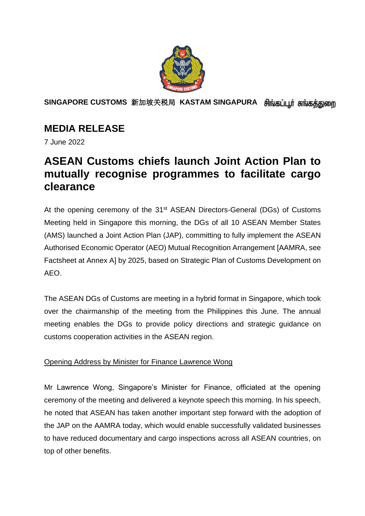

**SINGAPORE CUSTOMS** 新加坡关税局 **KASTAM SINGAPURA** 

# **MEDIA RELEASE**

7 June 2022

# **ASEAN Customs chiefs launch Joint Action Plan to mutually recognise programmes to facilitate cargo clearance**

At the opening ceremony of the 31<sup>st</sup> ASEAN Directors-General (DGs) of Customs Meeting held in Singapore this morning, the DGs of all 10 ASEAN Member States (AMS) launched a Joint Action Plan (JAP), committing to fully implement the ASEAN Authorised Economic Operator (AEO) Mutual Recognition Arrangement [AAMRA, see Factsheet at Annex A] by 2025, based on Strategic Plan of Customs Development on AEO.

The ASEAN DGs of Customs are meeting in a hybrid format in Singapore, which took over the chairmanship of the meeting from the Philippines this June. The annual meeting enables the DGs to provide policy directions and strategic guidance on customs cooperation activities in the ASEAN region.

## Opening Address by Minister for Finance Lawrence Wong

Mr Lawrence Wong, Singapore's Minister for Finance, officiated at the opening ceremony of the meeting and delivered a keynote speech this morning. In his speech, he noted that ASEAN has taken another important step forward with the adoption of the JAP on the AAMRA today, which would enable successfully validated businesses to have reduced documentary and cargo inspections across all ASEAN countries, on top of other benefits.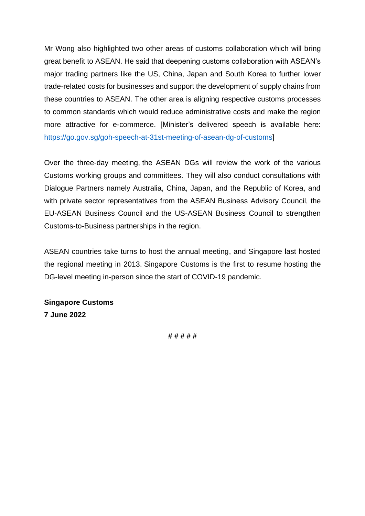Mr Wong also highlighted two other areas of customs collaboration which will bring great benefit to ASEAN. He said that deepening customs collaboration with ASEAN's major trading partners like the US, China, Japan and South Korea to further lower trade-related costs for businesses and support the development of supply chains from these countries to ASEAN. The other area is aligning respective customs processes to common standards which would reduce administrative costs and make the region more attractive for e-commerce. [Minister's delivered speech is available here: [https://go.gov.sg/goh-speech-at-31st-meeting-of-asean-dg-of-customs\]](https://go.gov.sg/goh-speech-at-31st-meeting-of-asean-dg-of-customs)

Over the three-day meeting, the ASEAN DGs will review the work of the various Customs working groups and committees. They will also conduct consultations with Dialogue Partners namely Australia, China, Japan, and the Republic of Korea, and with private sector representatives from the ASEAN Business Advisory Council, the EU-ASEAN Business Council and the US-ASEAN Business Council to strengthen Customs-to-Business partnerships in the region.

ASEAN countries take turns to host the annual meeting, and Singapore last hosted the regional meeting in 2013. Singapore Customs is the first to resume hosting the DG-level meeting in-person since the start of COVID-19 pandemic.

**Singapore Customs 7 June 2022**

**# # # # #**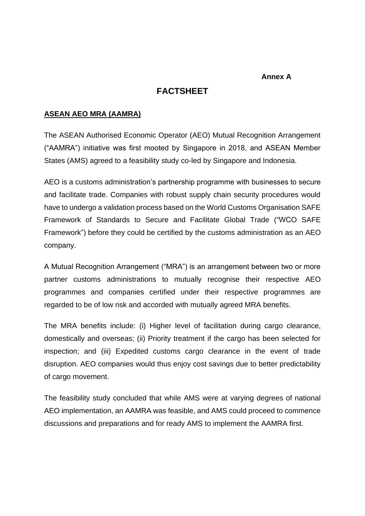#### **Annex A**

### **FACTSHEET**

#### **ASEAN AEO MRA (AAMRA)**

The ASEAN Authorised Economic Operator (AEO) Mutual Recognition Arrangement ("AAMRA") initiative was first mooted by Singapore in 2018, and ASEAN Member States (AMS) agreed to a feasibility study co-led by Singapore and Indonesia.

AEO is a customs administration's partnership programme with businesses to secure and facilitate trade. Companies with robust supply chain security procedures would have to undergo a validation process based on the World Customs Organisation SAFE Framework of Standards to Secure and Facilitate Global Trade ("WCO SAFE Framework") before they could be certified by the customs administration as an AEO company.

A Mutual Recognition Arrangement ("MRA") is an arrangement between two or more partner customs administrations to mutually recognise their respective AEO programmes and companies certified under their respective programmes are regarded to be of low risk and accorded with mutually agreed MRA benefits.

The MRA benefits include: (i) Higher level of facilitation during cargo clearance, domestically and overseas; (ii) Priority treatment if the cargo has been selected for inspection; and (iii) Expedited customs cargo clearance in the event of trade disruption. AEO companies would thus enjoy cost savings due to better predictability of cargo movement.

The feasibility study concluded that while AMS were at varying degrees of national AEO implementation, an AAMRA was feasible, and AMS could proceed to commence discussions and preparations and for ready AMS to implement the AAMRA first.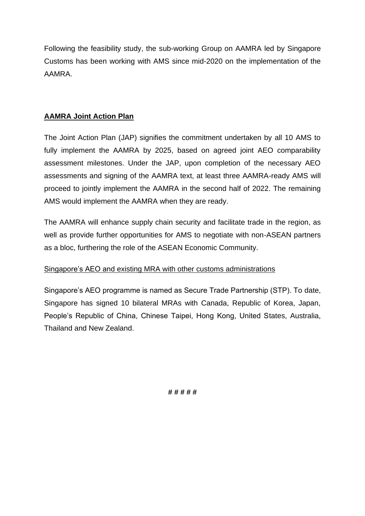Following the feasibility study, the sub-working Group on AAMRA led by Singapore Customs has been working with AMS since mid-2020 on the implementation of the AAMRA.

### **AAMRA Joint Action Plan**

The Joint Action Plan (JAP) signifies the commitment undertaken by all 10 AMS to fully implement the AAMRA by 2025, based on agreed joint AEO comparability assessment milestones. Under the JAP, upon completion of the necessary AEO assessments and signing of the AAMRA text, at least three AAMRA-ready AMS will proceed to jointly implement the AAMRA in the second half of 2022. The remaining AMS would implement the AAMRA when they are ready.

The AAMRA will enhance supply chain security and facilitate trade in the region, as well as provide further opportunities for AMS to negotiate with non-ASEAN partners as a bloc, furthering the role of the ASEAN Economic Community.

#### Singapore's AEO and existing MRA with other customs administrations

Singapore's AEO programme is named as Secure Trade Partnership (STP). To date, Singapore has signed 10 bilateral MRAs with Canada, Republic of Korea, Japan, People's Republic of China, Chinese Taipei, Hong Kong, United States, Australia, Thailand and New Zealand.

**# # # # #**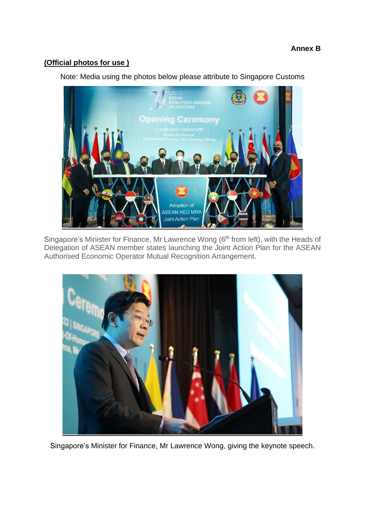### **(Official photos for use )**

Note: Media using the photos below please attribute to Singapore Customs



Singapore's Minister for Finance, Mr Lawrence Wong (6<sup>th</sup> from left), with the Heads of Delegation of ASEAN member states launching the Joint Action Plan for the ASEAN Authorised Economic Operator Mutual Recognition Arrangement.



Singapore's Minister for Finance, Mr Lawrence Wong, giving the keynote speech.